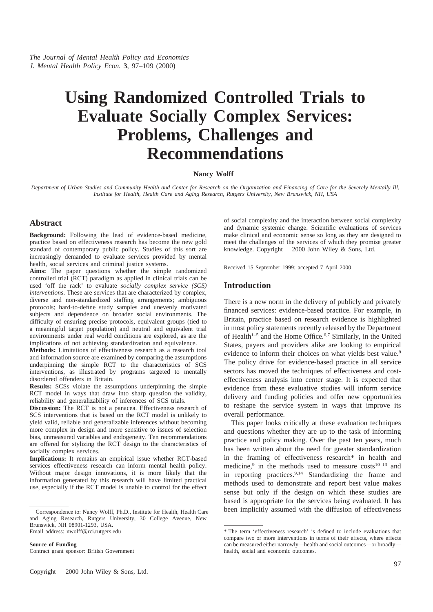# **Using Randomized Controlled Trials to Evaluate Socially Complex Services: Problems, Challenges and Recommendations**

## **Nancy Wolff**

*Department of Urban Studies and Community Health and Center for Research on the Organization and Financing of Care for the Severely Mentally Ill, Institute for Health, Health Care and Aging Research, Rutgers University, New Brunswick, NH, USA*

## **Abstract**

**Background:** Following the lead of evidence-based medicine, practice based on effectiveness research has become the new gold standard of contemporary public policy. Studies of this sort are increasingly demanded to evaluate services provided by mental health, social services and criminal justice systems.

**Aims:** The paper questions whether the simple randomized controlled trial (RCT) paradigm as applied in clinical trials can be used 'off the rack' to evaluate *socially complex service (SCS) interventions*. These are services that are characterized by complex, diverse and non-standardized staffing arrangements; ambiguous protocols; hard-to-define study samples and unevenly motivated subjects and dependence on broader social environments. The difficulty of ensuring precise protocols, equivalent groups (tied to a meaningful target population) and neutral and equivalent trial environments under real world conditions are explored, as are the implications of not achieving standardization and equivalence.

**Methods:** Limitations of effectiveness research as a research tool and information source are examined by comparing the assumptions underpinning the simple RCT to the characteristics of SCS interventions, as illustrated by programs targeted to mentally disordered offenders in Britain.

**Results:** SCSs violate the assumptions underpinning the simple RCT model in ways that draw into sharp question the validity, reliability and generalizability of inferences of SCS trials.

**Discussion:** The RCT is not a panacea. Effectiveness research of SCS interventions that is based on the RCT model is unlikely to yield valid, reliable and generalizable inferences without becoming more complex in design and more sensitive to issues of selection bias, unmeasured variables and endogeneity. Ten recommendations are offered for stylizing the RCT design to the characteristics of socially complex services.

**Implications:** It remains an empirical issue whether RCT-based services effectiveness research can inform mental health policy. Without major design innovations, it is more likely that the information generated by this research will have limited practical use, especially if the RCT model is unable to control for the effect

**Source of Funding** Contract grant sponsor: British Government of social complexity and the interaction between social complexity and dynamic systemic change. Scientific evaluations of services make clinical and economic sense so long as they are designed to meet the challenges of the services of which they promise greater knowledge. Copyright © 2000 John Wiley & Sons, Ltd.

Received 15 September 1999; accepted 7 April 2000

## **Introduction**

There is a new norm in the delivery of publicly and privately financed services: evidence-based practice. For example, in Britain, practice based on research evidence is highlighted in most policy statements recently released by the Department of Health<sup>1–5</sup> and the Home Office.<sup>6,7</sup> Similarly, in the United States, payers and providers alike are looking to empirical evidence to inform their choices on what yields best value.<sup>8</sup> The policy drive for evidence-based practice in all service sectors has moved the techniques of effectiveness and costeffectiveness analysis into center stage. It is expected that evidence from these evaluative studies will inform service delivery and funding policies and offer new opportunities to reshape the service system in ways that improve its overall performance.

This paper looks critically at these evaluation techniques and questions whether they are up to the task of informing practice and policy making. Over the past ten years, much has been written about the need for greater standardization in the framing of effectiveness research\* in health and medicine, $9$  in the methods used to measure costs<sup>10–13</sup> and in reporting practices.9,14 Standardizing the frame and methods used to demonstrate and report best value makes sense but only if the design on which these studies are based is appropriate for the services being evaluated. It has been implicitly assumed with the diffusion of effectiveness

Correspondence to: Nancy Wolff, Ph.D., Institute for Health, Health Care and Aging Research, Rutgers University, 30 College Avenue, New Brunswick, NH 08901-1293, USA. Email address: nwolff@rci.rutgers.edu

<sup>\*</sup> The term 'effectiveness research' is defined to include evaluations that compare two or more interventions in terms of their effects, where effects can be measured either narrowly—health and social outcomes—or broadly health, social and economic outcomes.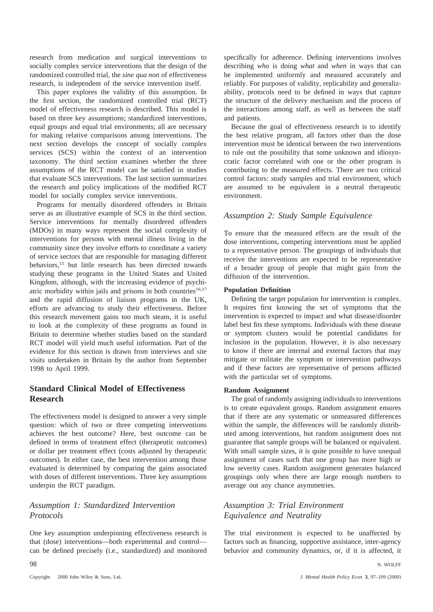research from medication and surgical interventions to socially complex service interventions that the design of the randomized controlled trial, the *sine qua non* of effectiveness research, is independent of the service intervention itself.

This paper explores the validity of this assumption. In the first section, the randomized controlled trial (RCT) model of effectiveness research is described. This model is based on three key assumptions; standardized interventions, equal groups and equal trial environments; all are necessary for making relative comparisons among interventions. The next section develops the concept of socially complex services (SCS) within the context of an intervention taxonomy. The third section examines whether the three assumptions of the RCT model can be satisfied in studies that evaluate SCS interventions. The last section summarizes the research and policy implications of the modified RCT model for socially complex service interventions.

Programs for mentally disordered offenders in Britain serve as an illustrative example of SCS in the third section. Service interventions for mentally disordered offenders (MDOs) in many ways represent the social complexity of interventions for persons with mental illness living in the community since they involve efforts to coordinate a variety of service sectors that are responsible for managing different behaviors,15 but little research has been directed towards studying these programs in the United States and United Kingdom, although, with the increasing evidence of psychiatric morbidity within jails and prisons in both countries $16,17$ and the rapid diffusion of liaison programs in the UK, efforts are advancing to study their effectiveness. Before this research movement gains too much steam, it is useful to look at the complexity of these programs as found in Britain to determine whether studies based on the standard RCT model will yield much useful information. Part of the evidence for this section is drawn from interviews and site visits undertaken in Britain by the author from September 1998 to April 1999.

## **Standard Clinical Model of Effectiveness Research**

The effectiveness model is designed to answer a very simple question: which of two or three competing interventions achieves the best outcome? Here, best outcome can be defined in terms of treatment effect (therapeutic outcomes) or dollar per treatment effect (costs adjusted by therapeutic outcomes). In either case, the best intervention among those evaluated is determined by comparing the gains associated with doses of different interventions. Three key assumptions underpin the RCT paradigm.

# *Assumption 1: Standardized Intervention Protocols*

One key assumption underpinning effectiveness research is that (dose) interventions—both experimental and control can be defined precisely (i.e., standardized) and monitored specifically for adherence. Defining interventions involves describing *who* is doing *what* and *when* in ways that can be implemented uniformly and measured accurately and reliably. For purposes of validity, replicability and generalizability, protocols need to be defined in ways that capture the structure of the delivery mechanism and the process of the interactions among staff, as well as between the staff and patients.

Because the goal of effectiveness research is to identify the best relative program, all factors other than the dose intervention must be identical between the two interventions to rule out the possibility that some unknown and idiosyncratic factor correlated with one or the other program is contributing to the measured effects. There are two critical control factors: study samples and trial environment, which are assumed to be equivalent in a neutral therapeutic environment.

## *Assumption 2: Study Sample Equivalence*

To ensure that the measured effects are the result of the dose interventions, competing interventions must be applied to a representative person. The groupings of individuals that receive the interventions are expected to be representative of a broader group of people that might gain from the diffusion of the intervention.

#### **Population Definition**

Defining the target population for intervention is complex. It requires first knowing the set of symptoms that the intervention is expected to impact and what disease/disorder label best fits these symptoms. Individuals with these disease or symptom clusters would be potential candidates for inclusion in the population. However, it is also necessary to know if there are internal and external factors that may mitigate or militate the symptom or intervention pathways and if these factors are representative of persons afflicted with the particular set of symptoms.

#### **Random Assignment**

The goal of randomly assigning individuals to interventions is to create equivalent groups. Random assignment ensures that if there are any systematic or unmeasured differences within the sample, the differences will be randomly distributed among interventions, but random assignment does not guarantee that sample groups will be balanced or equivalent. With small sample sizes, it is quite possible to have unequal assignment of cases such that one group has more high or low severity cases. Random assignment generates balanced groupings only when there are large enough numbers to average out any chance asymmetries.

## *Assumption 3: Trial Environment Equivalence and Neutrality*

The trial environment is expected to be unaffected by factors such as financing, supportive assistance, inter-agency behavior and community dynamics, or, if it is affected, it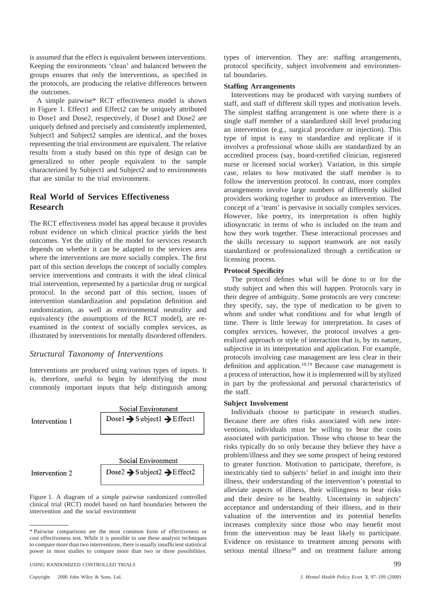is assumed that the effect is equivalent between interventions. Keeping the environments 'clean' and balanced between the groups ensures that only the interventions, as specified in the protocols, are producing the relative differences between the outcomes.

A simple pairwise\* RCT effectiveness model is shown in Figure 1. Effect1 and Effect2 can be uniquely attributed to Dose1 and Dose2, respectively, if Dose1 and Dose2 are uniquely defined and precisely and consistently implemented, Subject1 and Subject2 samples are identical, and the boxes representing the trial environment are equivalent. The relative results from a study based on this type of design can be generalized to other people equivalent to the sample characterized by Subject1 and Subject2 and to environments that are similar to the trial environment.

# **Real World of Services Effectiveness Research**

The RCT effectiveness model has appeal because it provides robust evidence on which clinical practice yields the best outcomes. Yet the utility of the model for services research depends on whether it can be adapted to the services area where the interventions are more socially complex. The first part of this section develops the concept of socially complex service interventions and contrasts it with the ideal clinical trial intervention, represented by a particular drug or surgical protocol. In the second part of this section, issues of intervention standardization and population definition and randomization, as well as environmental neutrality and equivalency (the assumptions of the RCT model), are reexamined in the context of socially complex services, as illustrated by interventions for mentally disordered offenders.

## *Structural Taxonomy of Interventions*

Interventions are produced using various types of inputs. It is, therefore, useful to begin by identifying the most commonly important inputs that help distinguish among



Figure 1. A diagram of a simple pairwise randomized controlled clinical trial (RCT) model based on hard boundaries between the intervention and the social environment

USING RANDOMIZED CONTROLLED TRIALS 99

types of intervention. They are: staffing arrangements, protocol specificity, subject involvement and environmental boundaries.

#### **Staffing Arrangements**

Interventions may be produced with varying numbers of staff, and staff of different skill types and motivation levels. The simplest staffing arrangement is one where there is a single staff member of a standardized skill level producing an intervention (e.g., surgical procedure or injection). This type of input is easy to standardize and replicate if it involves a professional whose skills are standardized by an accredited process (say, board-certified clinician, registered nurse or licensed social worker). Variation, in this simple case, relates to how motivated the staff member is to follow the intervention protocol. In contrast, more complex arrangements involve large numbers of differently skilled providers working together to produce an intervention. The concept of a 'team' is pervasive in socially complex services. However, like poetry, its interpretation is often highly idiosyncratic in terms of who is included on the team and how they work together. These interactional processes and the skills necessary to support teamwork are not easily standardized or professionalized through a certification or licensing process.

## **Protocol Specificity**

The protocol defines what will be done to or for the study subject and when this will happen. Protocols vary in their degree of ambiguity. Some protocols are very concrete: they specify, say, the type of medication to be given to whom and under what conditions and for what length of time. There is little leeway for interpretation. In cases of complex services, however, the protocol involves a generalized approach or style of interaction that is, by its nature, subjective in its interpretation and application. For example, protocols involving case management are less clear in their definition and application.18,19 Because case management is a process of interaction, how it is implemented will by stylized in part by the professional and personal characteristics of the staff.

#### **Subject Involvement**

Individuals choose to participate in research studies. Because there are often risks associated with new interventions, individuals must be willing to bear the costs associated with participation. Those who choose to bear the risks typically do so only because they believe they have a problem/illness and they see some prospect of being restored to greater function. Motivation to participate, therefore, is inextricably tied to subjects' belief in and insight into their illness, their understanding of the intervention's potential to alleviate aspects of illness, their willingness to bear risks and their desire to be healthy. Uncertainty in subjects' acceptance and understanding of their illness, and in their valuation of the intervention and its potential benefits increases complexity since those who may benefit most from the intervention may be least likely to participate. Evidence on resistance to treatment among persons with serious mental illness<sup>20</sup> and on treatment failure among

<sup>\*</sup> Pairwise comparisons are the most common form of effectiveness or cost effectiveness test. While it is possible to use these analysis techniques to compare more than two interventions, there is usually insufficient statistical power in most studies to compare more than two or three possibilities.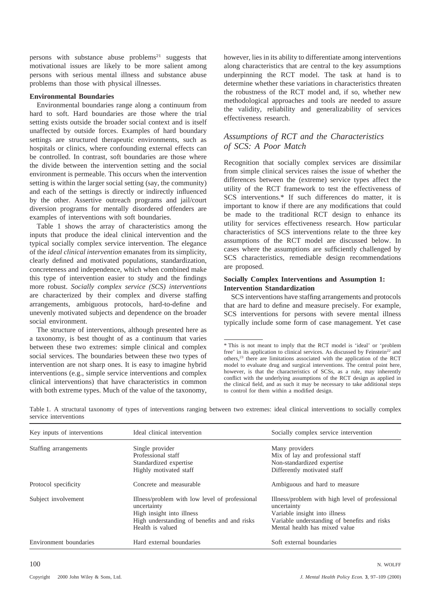persons with substance abuse problems $21$  suggests that motivational issues are likely to be more salient among persons with serious mental illness and substance abuse problems than those with physical illnesses.

## **Environmental Boundaries**

Environmental boundaries range along a continuum from hard to soft. Hard boundaries are those where the trial setting exists outside the broader social context and is itself unaffected by outside forces. Examples of hard boundary settings are structured therapeutic environments, such as hospitals or clinics, where confounding external effects can be controlled. In contrast, soft boundaries are those where the divide between the intervention setting and the social environment is permeable. This occurs when the intervention setting is within the larger social setting (say, the community) and each of the settings is directly or indirectly influenced by the other. Assertive outreach programs and jail/court diversion programs for mentally disordered offenders are examples of interventions with soft boundaries.

Table 1 shows the array of characteristics among the inputs that produce the ideal clinical intervention and the typical socially complex service intervention. The elegance of the *ideal clinical intervention* emanates from its simplicity, clearly defined and motivated populations, standardization, concreteness and independence, which when combined make this type of intervention easier to study and the findings more robust. *Socially complex service (SCS) interventions* are characterized by their complex and diverse staffing arrangements, ambiguous protocols, hard-to-define and unevenly motivated subjects and dependence on the broader social environment.

The structure of interventions, although presented here as a taxonomy, is best thought of as a continuum that varies between these two extremes: simple clinical and complex social services. The boundaries between these two types of intervention are not sharp ones. It is easy to imagine hybrid interventions (e.g., simple service interventions and complex clinical interventions) that have characteristics in common with both extreme types. Much of the value of the taxonomy, however, lies in its ability to differentiate among interventions along characteristics that are central to the key assumptions underpinning the RCT model. The task at hand is to determine whether these variations in characteristics threaten the robustness of the RCT model and, if so, whether new methodological approaches and tools are needed to assure the validity, reliability and generalizability of services effectiveness research.

## *Assumptions of RCT and the Characteristics of SCS: A Poor Match*

Recognition that socially complex services are dissimilar from simple clinical services raises the issue of whether the differences between the (extreme) service types affect the utility of the RCT framework to test the effectiveness of SCS interventions.\* If such differences do matter, it is important to know if there are any modifications that could be made to the traditional RCT design to enhance its utility for services effectiveness research. How particular characteristics of SCS interventions relate to the three key assumptions of the RCT model are discussed below. In cases where the assumptions are sufficiently challenged by SCS characteristics, remediable design recommendations are proposed.

## **Socially Complex Interventions and Assumption 1: Intervention Standardization**

SCS interventions have staffing arrangements and protocols that are hard to define and measure precisely. For example, SCS interventions for persons with severe mental illness typically include some form of case management. Yet case

Table 1. A structural taxonomy of types of interventions ranging between two extremes: ideal clinical interventions to socially complex service interventions

| Key inputs of interventions | Ideal clinical intervention                                                                                                                                    | Socially complex service intervention                                                                                                                                            |
|-----------------------------|----------------------------------------------------------------------------------------------------------------------------------------------------------------|----------------------------------------------------------------------------------------------------------------------------------------------------------------------------------|
| Staffing arrangements       | Single provider<br>Professional staff<br>Standardized expertise<br>Highly motivated staff                                                                      | Many providers<br>Mix of lay and professional staff<br>Non-standardized expertise<br>Differently motivated staff                                                                 |
| Protocol specificity        | Concrete and measurable                                                                                                                                        | Ambiguous and hard to measure                                                                                                                                                    |
| Subject involvement         | Illness/problem with low level of professional<br>uncertainty<br>High insight into illness<br>High understanding of benefits and and risks<br>Health is valued | Illness/problem with high level of professional<br>uncertainty<br>Variable insight into illness<br>Variable understanding of benefits and risks<br>Mental health has mixed value |
| Environment boundaries      | Hard external boundaries                                                                                                                                       | Soft external boundaries                                                                                                                                                         |

<sup>\*</sup> This is not meant to imply that the RCT model is 'ideal' or 'problem free' in its application to clinical services. As discussed by Feinstein<sup>22</sup> and others,<sup>23</sup> there are limitations associated with the application of the RCT model to evaluate drug and surgical interventions. The central point here, however, is that the characteristics of SCSs, as a rule, may inherently conflict with the underlying assumptions of the RCT design as applied in the clinical field, and as such it may be necessary to take additional steps to control for them within a modified design.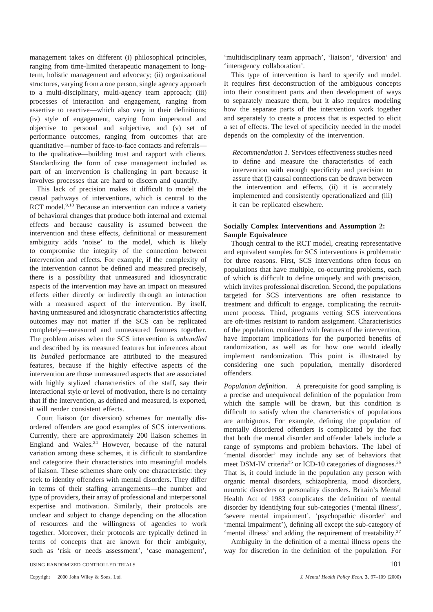management takes on different (i) philosophical principles, ranging from time-limited therapeutic management to longterm, holistic management and advocacy; (ii) organizational structures, varying from a one person, single agency approach to a multi-disciplinary, multi-agency team approach; (iii) processes of interaction and engagement, ranging from assertive to reactive—which also vary in their definitions; (iv) style of engagement, varying from impersonal and objective to personal and subjective, and (v) set of performance outcomes, ranging from outcomes that are quantitative—number of face-to-face contacts and referrals to the qualitative—building trust and rapport with clients. Standardizing the form of case management included as part of an intervention is challenging in part because it involves processes that are hard to discern and quantify.

This lack of precision makes it difficult to model the casual pathways of interventions, which is central to the RCT model.<sup>9,10</sup> Because an intervention can induce a variety of behavioral changes that produce both internal and external effects and because causality is assumed between the intervention and these effects, definitional or measurement ambiguity adds 'noise' to the model, which is likely to compromise the integrity of the connection between intervention and effects. For example, if the complexity of the intervention cannot be defined and measured precisely, there is a possibility that unmeasured and idiosyncratic aspects of the intervention may have an impact on measured effects either directly or indirectly through an interaction with a measured aspect of the intervention. By itself, having unmeasured and idiosyncratic characteristics affecting outcomes may not matter if the SCS can be replicated completely—measured and unmeasured features together. The problem arises when the SCS intervention is *unbundled* and described by its measured features but inferences about its *bundled* performance are attributed to the measured features, because if the highly effective aspects of the intervention are those unmeasured aspects that are associated with highly stylized characteristics of the staff, say their interactional style or level of motivation, there is no certainty that if the intervention, as defined and measured, is exported, it will render consistent effects.

Court liaison (or diversion) schemes for mentally disordered offenders are good examples of SCS interventions. Currently, there are approximately 200 liaison schemes in England and Wales.<sup>24</sup> However, because of the natural variation among these schemes, it is difficult to standardize and categorize their characteristics into meaningful models of liaison. These schemes share only one characteristic: they seek to identity offenders with mental disorders. They differ in terms of their staffing arrangements—the number and type of providers, their array of professional and interpersonal expertise and motivation. Similarly, their protocols are unclear and subject to change depending on the allocation of resources and the willingness of agencies to work together. Moreover, their protocols are typically defined in terms of concepts that are known for their ambiguity, such as 'risk or needs assessment', 'case management', 'multidisciplinary team approach', 'liaison', 'diversion' and 'interagency collaboration'.

This type of intervention is hard to specify and model. It requires first deconstruction of the ambiguous concepts into their constituent parts and then development of ways to separately measure them, but it also requires modeling how the separate parts of the intervention work together and separately to create a process that is expected to elicit a set of effects. The level of specificity needed in the model depends on the complexity of the intervention.

*Recommendation 1*. Services effectiveness studies need to define and measure the characteristics of each intervention with enough specificity and precision to assure that (i) causal connections can be drawn between the intervention and effects, (ii) it is accurately implemented and consistently operationalized and (iii) it can be replicated elsewhere.

## **Socially Complex Interventions and Assumption 2: Sample Equivalence**

Though central to the RCT model, creating representative and equivalent samples for SCS interventions is problematic for three reasons. First, SCS interventions often focus on populations that have multiple, co-occurring problems, each of which is difficult to define uniquely and with precision, which invites professional discretion. Second, the populations targeted for SCS interventions are often resistance to treatment and difficult to engage, complicating the recruitment process. Third, programs vetting SCS interventions are oft-times resistant to random assignment. Characteristics of the population, combined with features of the intervention, have important implications for the purported benefits of randomization, as well as for how one would ideally implement randomization. This point is illustrated by considering one such population, mentally disordered offenders.

*Population definition.* A prerequisite for good sampling is a precise and unequivocal definition of the population from which the sample will be drawn, but this condition is difficult to satisfy when the characteristics of populations are ambiguous. For example, defining the population of mentally disordered offenders is complicated by the fact that both the mental disorder and offender labels include a range of symptoms and problem behaviors. The label of 'mental disorder' may include any set of behaviors that meet DSM-IV criteria<sup>25</sup> or ICD-10 categories of diagnoses.<sup>26</sup> That is, it could include in the population any person with organic mental disorders, schizophrenia, mood disorders, neurotic disorders or personality disorders. Britain's Mental Health Act of 1983 complicates the definition of mental disorder by identifying four sub-categories ('mental illness', 'severe mental impairment', 'psychopathic disorder' and 'mental impairment'), defining all except the sub-category of 'mental illness' and adding the requirement of treatability.<sup>27</sup>

Ambiguity in the definition of a mental illness opens the way for discretion in the definition of the population. For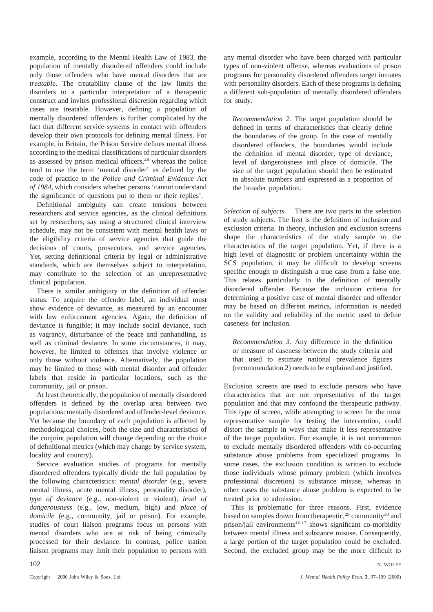example, according to the Mental Health Law of 1983, the population of mentally disordered offenders could include only those offenders who have mental disorders that are *treatable*. The treatability clause of the law limits the disorders to a particular interpretation of a therapeutic construct and invites professional discretion regarding which cases are treatable. However, defining a population of mentally disordered offenders is further complicated by the fact that different service systems in contact with offenders develop their own protocols for defining mental illness. For example, in Britain, the Prison Service defines mental illness according to the medical classifications of particular disorders as assessed by prison medical officers,<sup>28</sup> whereas the police tend to use the term 'mental disorder' as defined by the code of practice to the *Police and Criminal Evidence Act of 1984*, which considers whether persons 'cannot understand the significance of questions put to them or their replies'.

Definitional ambiguity can create tensions between researchers and service agencies, as the clinical definitions set by researchers, say using a structured clinical interview schedule, may not be consistent with mental health laws or the eligibility criteria of service agencies that guide the decisions of courts, prosecutors, and service agencies. Yet, setting definitional criteria by legal or administrative standards, which are themselves subject to interpretation, may contribute to the selection of an unrepresentative clinical population.

There is similar ambiguity in the definition of offender status. To acquire the offender label, an individual must show evidence of deviance, as measured by an encounter with law enforcement agencies. Again, the definition of deviance is fungible; it may include social deviance, such as vagrancy, disturbance of the peace and panhandling, as well as criminal deviance. In some circumstances, it may, however, be limited to offenses that involve violence or only those without violence. Alternatively, the population may be limited to those with mental disorder and offender labels that reside in particular locations, such as the community, jail or prison.

At least theoretically, the population of mentally disordered offenders is defined by the overlap area between two populations: mentally disordered and offender-level deviance. Yet because the boundary of each population is affected by methodological choices, both the size and characteristics of the conjoint population will change depending on the choice of definitional metrics (which may change by service system, locality and country).

Service evaluation studies of programs for mentally disordered offenders typically divide the full population by the following characteristics: *mental disorder* (e.g., severe mental illness, acute mental illness, personality disorder), *type of deviance* (e.g., non-violent or violent), *level of dangerousness* (e.g., low, medium, high) and *place of domicile* (e.g., community, jail or prison). For example, studies of court liaison programs focus on persons with mental disorders who are at risk of being criminally processed for their deviance. In contrast, police station liaison programs may limit their population to persons with any mental disorder who have been charged with particular types of non-violent offense, whereas evaluations of prison programs for personality disordered offenders target inmates with personality disorders. Each of these programs is defining a different sub-population of mentally disordered offenders for study.

*Recommendation 2.* The target population should be defined in terms of characteristics that clearly define the boundaries of the group. In the case of mentally disordered offenders, the boundaries would include the definition of mental disorder, type of deviance, level of dangerousness and place of domicile. The size of the target population should then be estimated in absolute numbers and expressed as a proportion of the broader population.

*Selection of subjects.* There are two parts to the selection of study subjects. The first is the definition of inclusion and exclusion criteria. In theory, inclusion and exclusion screens shape the characteristics of the study sample to the characteristics of the target population. Yet, if there is a high level of diagnostic or problem uncertainty within the SCS population, it may be difficult to develop screens specific enough to distinguish a true case from a false one. This relates particularly to the definition of mentally disordered offender. Because the inclusion criteria for determining a positive case of mental disorder and offender may be based on different metrics, information is needed on the validity and reliability of the metric used to define caseness for inclusion.

*Recommendation 3.* Any difference in the definition or measure of caseness between the study criteria and that used to estimate national prevalence figures (recommendation 2) needs to be explained and justified.

Exclusion screens are used to exclude persons who have characteristics that are not representative of the target population and that may confound the therapeutic pathway. This type of screen, while attempting to screen for the most representative sample for testing the intervention, could distort the sample in ways that make it less representative of the target population. For example, it is not uncommon to exclude mentally disordered offenders with co-occurring substance abuse problems from specialized programs. In some cases, the exclusion condition is written to exclude those individuals whose primary problem (which involves professional discretion) is substance misuse, whereas in other cases the substance abuse problem is expected to be treated prior to admission.

This is problematic for three reasons. First, evidence based on samples drawn from the rapeutic,<sup>29</sup> community<sup>30</sup> and prison/jail environments<sup>16,17</sup> shows significant co-morbidity between mental illness and substance misuse. Consequently, a large portion of the target population could be excluded. Second, the excluded group may be the more difficult to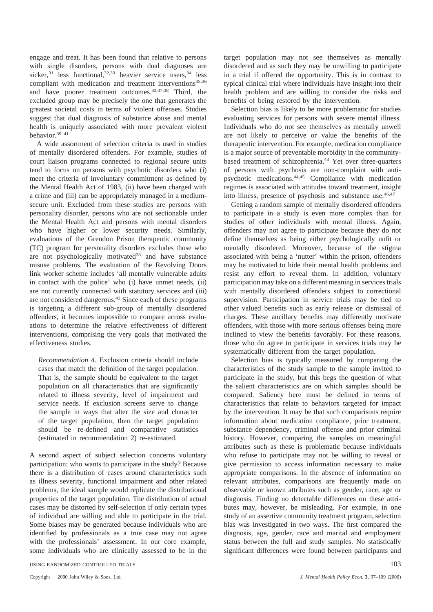engage and treat. It has been found that relative to persons with single disorders, persons with dual diagnoses are sicker,<sup>31</sup> less functional,<sup>32,33</sup> heavier service users,<sup>34</sup> less compliant with medication and treatment interventions<sup>35,36</sup> and have poorer treatment outcomes.33,37,38 Third, the excluded group may be precisely the one that generates the greatest societal costs in terms of violent offenses. Studies suggest that dual diagnosis of substance abuse and mental health is uniquely associated with more prevalent violent behavior.39–41

A wide assortment of selection criteria is used in studies of mentally disordered offenders. For example, studies of court liaison programs connected to regional secure units tend to focus on persons with psychotic disorders who (i) meet the criteria of involuntary commitment as defined by the Mental Health Act of 1983, (ii) have been charged with a crime and (iii) can be appropriately managed in a mediumsecure unit. Excluded from these studies are persons with personality disorder, persons who are not sectionable under the Mental Health Act and persons with mental disorders who have higher or lower security needs. Similarly, evaluations of the Grendon Prison therapeutic community (TC) program for personality disorders excludes those who are not psychologically motivated $28$  and have substance misuse problems. The evaluation of the Revolving Doors link worker scheme includes 'all mentally vulnerable adults in contact with the police' who (i) have unmet needs, (ii) are not currently connected with statutory services and (iii) are not considered dangerous.42 Since each of these programs is targeting a different sub-group of mentally disordered offenders, it becomes impossible to compare across evaluations to determine the relative effectiveness of different interventions, comprising the very goals that motivated the effectiveness studies.

*Recommendation 4.* Exclusion criteria should include cases that match the definition of the target population. That is, the sample should be equivalent to the target population on all characteristics that are significantly related to illness severity, level of impairment and service needs. If exclusion screens serve to change the sample in ways that alter the size and character of the target population, then the target population should be re-defined and comparative statistics (estimated in recommendation 2) re-estimated.

A second aspect of subject selection concerns voluntary participation: who wants to participate in the study? Because there is a distribution of cases around characteristics such as illness severity, functional impairment and other related problems, the ideal sample would replicate the distributional properties of the target population. The distribution of actual cases may be distorted by self-selection if only certain types of individual are willing and able to participate in the trial. Some biases may be generated because individuals who are identified by professionals as a true case may not agree with the professionals' assessment. In our core example, some individuals who are clinically assessed to be in the target population may not see themselves as mentally disordered and as such they may be unwilling to participate in a trial if offered the opportunity. This is in contrast to typical clinical trial where individuals have insight into their health problem and are willing to consider the risks and benefits of being restored by the intervention.

Selection bias is likely to be more problematic for studies evaluating services for persons with severe mental illness. Individuals who do not see themselves as mentally unwell are not likely to perceive or value the benefits of the therapeutic intervention. For example, medication compliance is a major source of preventable morbidity in the communitybased treatment of schizophrenia.<sup>43</sup> Yet over three-quarters of persons with psychosis are non-complaint with antipsychotic medications.44,45 Compliance with medication regimes is associated with attitudes toward treatment, insight into illness, presence of psychosis and substance use.<sup>46,47</sup>

Getting a random sample of mentally disordered offenders to participate in a study is even more complex than for studies of other individuals with mental illness. Again, offenders may not agree to participate because they do not define themselves as being either psychologically unfit or mentally disordered. Moreover, because of the stigma associated with being a 'nutter' within the prison, offenders may be motivated to hide their mental health problems and resist any effort to reveal them. In addition, voluntary participation may take on a different meaning in services trials with mentally disordered offenders subject to correctional supervision. Participation in service trials may be tied to other valued benefits such as early release or dismissal of charges. These ancillary benefits may differently motivate offenders, with those with more serious offenses being more inclined to view the benefits favorably. For these reasons, those who do agree to participate in services trials may be systematically different from the target population.

Selection bias is typically measured by comparing the characteristics of the study sample to the sample invited to participate in the study, but this begs the question of what the salient characteristics are on which samples should be compared. Saliency here must be defined in terms of characteristics that relate to behaviors targeted for impact by the intervention. It may be that such comparisons require information about medication compliance, prior treatment, substance dependency, criminal offense and prior criminal history. However, comparing the samples on meaningful attributes such as these is problematic because individuals who refuse to participate may not be willing to reveal or give permission to access information necessary to make appropriate comparisons. In the absence of information on relevant attributes, comparisons are frequently made on observable or known attributes such as gender, race, age or diagnosis. Finding no detectable differences on these attributes may, however, be misleading. For example, in one study of an assertive community treatment program, selection bias was investigated in two ways. The first compared the diagnosis, age, gender, race and marital and employment status between the full and study samples. No statistically significant differences were found between participants and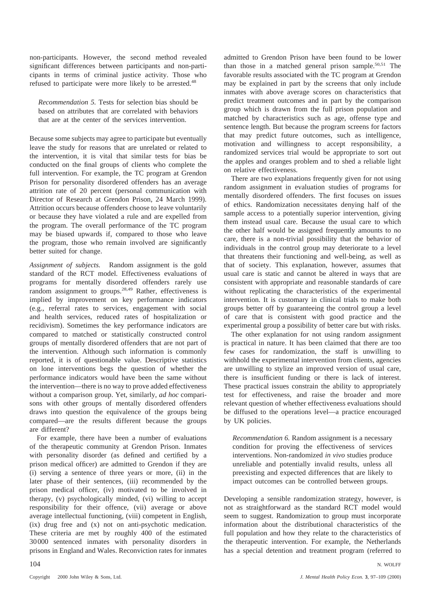non-participants. However, the second method revealed significant differences between participants and non-participants in terms of criminal justice activity. Those who refused to participate were more likely to be arrested.48

*Recommendation 5.* Tests for selection bias should be based on attributes that are correlated with behaviors that are at the center of the services intervention.

Because some subjects may agree to participate but eventually leave the study for reasons that are unrelated or related to the intervention, it is vital that similar tests for bias be conducted on the final groups of clients who complete the full intervention. For example, the TC program at Grendon Prison for personality disordered offenders has an average attrition rate of 20 percent (personal communication with Director of Research at Grendon Prison, 24 March 1999). Attrition occurs because offenders choose to leave voluntarily or because they have violated a rule and are expelled from the program. The overall performance of the TC program may be biased upwards if, compared to those who leave the program, those who remain involved are significantly better suited for change.

*Assignment of subjects.* Random assignment is the gold standard of the RCT model. Effectiveness evaluations of programs for mentally disordered offenders rarely use random assignment to groups.28,49 Rather, effectiveness is implied by improvement on key performance indicators (e.g., referral rates to services, engagement with social and health services, reduced rates of hospitalization or recidivism). Sometimes the key performance indicators are compared to matched or statistically constructed control groups of mentally disordered offenders that are not part of the intervention. Although such information is commonly reported, it is of questionable value. Descriptive statistics on lone interventions begs the question of whether the performance indicators would have been the same without the intervention—there is no way to prove added effectiveness without a comparison group. Yet, similarly, *ad hoc* comparisons with other groups of mentally disordered offenders draws into question the equivalence of the groups being compared—are the results different because the groups are different?

For example, there have been a number of evaluations of the therapeutic community at Grendon Prison. Inmates with personality disorder (as defined and certified by a prison medical officer) are admitted to Grendon if they are (i) serving a sentence of three years or more, (ii) in the later phase of their sentences, (iii) recommended by the prison medical officer, (iv) motivated to be involved in therapy, (v) psychologically minded, (vi) willing to accept responsibility for their offence, (vii) average or above average intellectual functioning, (viii) competent in English, (ix) drug free and (x) not on anti-psychotic medication. These criteria are met by roughly 400 of the estimated 30000 sentenced inmates with personality disorders in prisons in England and Wales. Reconviction rates for inmates admitted to Grendon Prison have been found to be lower than those in a matched general prison sample. $50,51$  The favorable results associated with the TC program at Grendon may be explained in part by the screens that only include inmates with above average scores on characteristics that predict treatment outcomes and in part by the comparison group which is drawn from the full prison population and matched by characteristics such as age, offense type and sentence length. But because the program screens for factors that may predict future outcomes, such as intelligence, motivation and willingness to accept responsibility, a randomized services trial would be appropriate to sort out the apples and oranges problem and to shed a reliable light on relative effectiveness.

There are two explanations frequently given for not using random assignment in evaluation studies of programs for mentally disordered offenders. The first focuses on issues of ethics. Randomization necessitates denying half of the sample access to a potentially superior intervention, giving them instead usual care. Because the usual care to which the other half would be assigned frequently amounts to no care, there is a non-trivial possibility that the behavior of individuals in the control group may deteriorate to a level that threatens their functioning and well-being, as well as that of society. This explanation, however, assumes that usual care is static and cannot be altered in ways that are consistent with appropriate and reasonable standards of care without replicating the characteristics of the experimental intervention. It is customary in clinical trials to make both groups better off by guaranteeing the control group a level of care that is consistent with good practice and the experimental group a possibility of better care but with risks.

The other explanation for not using random assignment is practical in nature. It has been claimed that there are too few cases for randomization, the staff is unwilling to withhold the experimental intervention from clients, agencies are unwilling to stylize an improved version of usual care, there is insufficient funding or there is lack of interest. These practical issues constrain the ability to appropriately test for effectiveness, and raise the broader and more relevant question of whether effectiveness evaluations should be diffused to the operations level—a practice encouraged by UK policies.

*Recommendation 6.* Random assignment is a necessary condition for proving the effectiveness of services interventions. Non-randomized *in vivo* studies produce unreliable and potentially invalid results, unless all preexisting and expected differences that are likely to impact outcomes can be controlled between groups.

Developing a sensible randomization strategy, however, is not as straightforward as the standard RCT model would seem to suggest. Randomization to group must incorporate information about the distributional characteristics of the full population and how they relate to the characteristics of the therapeutic intervention. For example, the Netherlands has a special detention and treatment program (referred to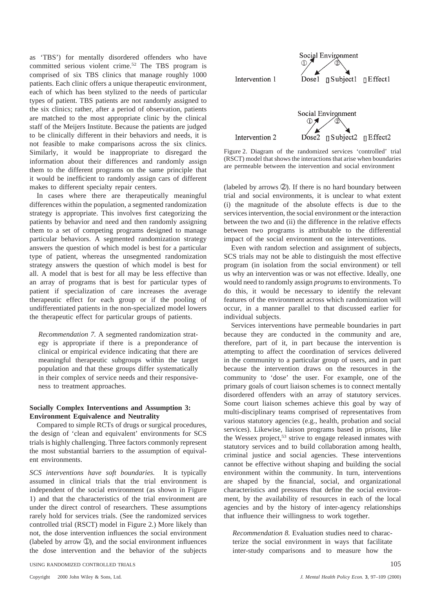as 'TBS') for mentally disordered offenders who have committed serious violent crime.<sup>52</sup> The TBS program is comprised of six TBS clinics that manage roughly 1000 patients. Each clinic offers a unique therapeutic environment, each of which has been stylized to the needs of particular types of patient. TBS patients are not randomly assigned to the six clinics; rather, after a period of observation, patients are matched to the most appropriate clinic by the clinical staff of the Meijers Institute. Because the patients are judged to be clinically different in their behaviors and needs, it is not feasible to make comparisons across the six clinics. Similarly, it would be inappropriate to disregard the information about their differences and randomly assign them to the different programs on the same principle that it would be inefficient to randomly assign cars of different makes to different specialty repair centers.

In cases where there are therapeutically meaningful differences within the population, a segmented randomization strategy is appropriate. This involves first categorizing the patients by behavior and need and then randomly assigning them to a set of competing programs designed to manage particular behaviors. A segmented randomization strategy answers the question of which model is best for a particular type of patient, whereas the unsegmented randomization strategy answers the question of which model is best for all. A model that is best for all may be less effective than an array of programs that is best for particular types of patient if specialization of care increases the average therapeutic effect for each group or if the pooling of undifferentiated patients in the non-specialized model lowers the therapeutic effect for particular groups of patients.

*Recommendation 7.* A segmented randomization strategy is appropriate if there is a preponderance of clinical or empirical evidence indicating that there are meaningful therapeutic subgroups within the target population and that these groups differ systematically in their complex of service needs and their responsiveness to treatment approaches.

## **Socially Complex Interventions and Assumption 3: Environment Equivalence and Neutrality**

Compared to simple RCTs of drugs or surgical procedures, the design of 'clean and equivalent' environments for SCS trials is highly challenging. Three factors commonly represent the most substantial barriers to the assumption of equivalent environments.

*SCS interventions have soft boundaries.* It is typically assumed in clinical trials that the trial environment is independent of the social environment (as shown in Figure 1) and that the characteristics of the trial environment are under the direct control of researchers. These assumptions rarely hold for services trials. (See the randomized services controlled trial (RSCT) model in Figure 2.) More likely than not, the dose intervention influences the social environment (labeled by arrow ➀), and the social environment influences the dose intervention and the behavior of the subjects



Figure 2. Diagram of the randomized services 'controlled' trial (RSCT) model that shows the interactions that arise when boundaries are permeable between the intervention and social environment

(labeled by arrows ➁). If there is no hard boundary between trial and social environments, it is unclear to what extent (i) the magnitude of the absolute effects is due to the services intervention, the social environment or the interaction between the two and (ii) the difference in the relative effects between two programs is attributable to the differential impact of the social environment on the interventions.

Even with random selection and assignment of subjects, SCS trials may not be able to distinguish the most effective program (in isolation from the social environment) or tell us why an intervention was or was not effective. Ideally, one would need to randomly assign *programs* to environments. To do this, it would be necessary to identify the relevant features of the environment across which randomization will occur, in a manner parallel to that discussed earlier for individual subjects.

Services interventions have permeable boundaries in part because they are conducted in the community and are, therefore, part of it, in part because the intervention is attempting to affect the coordination of services delivered in the community to a particular group of users, and in part because the intervention draws on the resources in the community to 'dose' the user. For example, one of the primary goals of court liaison schemes is to connect mentally disordered offenders with an array of statutory services. Some court liaison schemes achieve this goal by way of multi-disciplinary teams comprised of representatives from various statutory agencies (e.g., health, probation and social services). Likewise, liaison programs based in prisons, like the Wessex project,<sup>53</sup> strive to engage released inmates with statutory services and to build collaboration among health, criminal justice and social agencies. These interventions cannot be effective without shaping and building the social environment within the community. In turn, interventions are shaped by the financial, social, and organizational characteristics and pressures that define the social environment, by the availability of resources in each of the local agencies and by the history of inter-agency relationships that influence their willingness to work together.

*Recommendation 8.* Evaluation studies need to characterize the social environment in ways that facilitate inter-study comparisons and to measure how the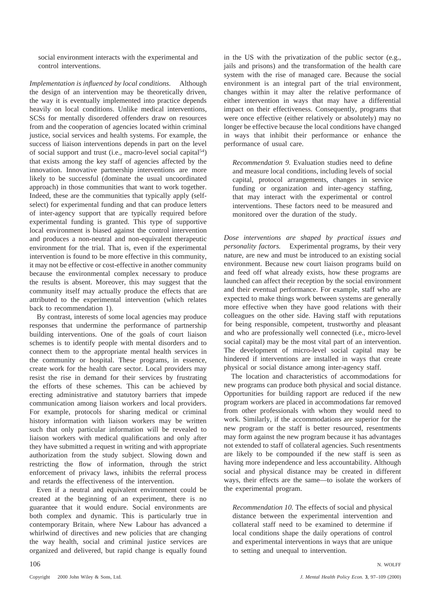social environment interacts with the experimental and control interventions.

*Implementation is influenced by local conditions.* Although the design of an intervention may be theoretically driven, the way it is eventually implemented into practice depends heavily on local conditions. Unlike medical interventions, SCSs for mentally disordered offenders draw on resources from and the cooperation of agencies located within criminal justice, social services and health systems. For example, the success of liaison interventions depends in part on the level of social support and trust (i.e., macro-level social capital54) that exists among the key staff of agencies affected by the innovation. Innovative partnership interventions are more likely to be successful (dominate the usual uncoordinated approach) in those communities that want to work together. Indeed, these are the communities that typically apply (selfselect) for experimental funding and that can produce letters of inter-agency support that are typically required before experimental funding is granted. This type of supportive local environment is biased against the control intervention and produces a non-neutral and non-equivalent therapeutic environment for the trial. That is, even if the experimental intervention is found to be more effective in this community, it may not be effective or cost-effective in another community because the environmental complex necessary to produce the results is absent. Moreover, this may suggest that the community itself may actually produce the effects that are attributed to the experimental intervention (which relates back to recommendation 1).

By contrast, interests of some local agencies may produce responses that undermine the performance of partnership building interventions. One of the goals of court liaison schemes is to identify people with mental disorders and to connect them to the appropriate mental health services in the community or hospital. These programs, in essence, create work for the health care sector. Local providers may resist the rise in demand for their services by frustrating the efforts of these schemes. This can be achieved by erecting administrative and statutory barriers that impede communication among liaison workers and local providers. For example, protocols for sharing medical or criminal history information with liaison workers may be written such that only particular information will be revealed to liaison workers with medical qualifications and only after they have submitted a request in writing and with appropriate authorization from the study subject. Slowing down and restricting the flow of information, through the strict enforcement of privacy laws, inhibits the referral process and retards the effectiveness of the intervention.

Even if a neutral and equivalent environment could be created at the beginning of an experiment, there is no guarantee that it would endure. Social environments are both complex and dynamic. This is particularly true in contemporary Britain, where New Labour has advanced a whirlwind of directives and new policies that are changing the way health, social and criminal justice services are organized and delivered, but rapid change is equally found in the US with the privatization of the public sector (e.g., jails and prisons) and the transformation of the health care system with the rise of managed care. Because the social environment is an integral part of the trial environment, changes within it may alter the relative performance of either intervention in ways that may have a differential impact on their effectiveness. Consequently, programs that were once effective (either relatively or absolutely) may no longer be effective because the local conditions have changed in ways that inhibit their performance or enhance the performance of usual care.

*Recommendation 9.* Evaluation studies need to define and measure local conditions, including levels of social capital, protocol arrangements, changes in service funding or organization and inter-agency staffing, that may interact with the experimental or control interventions. These factors need to be measured and monitored over the duration of the study.

*Dose interventions are shaped by practical issues and personality factors.* Experimental programs, by their very nature, are new and must be introduced to an existing social environment. Because new court liaison programs build on and feed off what already exists, how these programs are launched can affect their reception by the social environment and their eventual performance. For example, staff who are expected to make things work between systems are generally more effective when they have good relations with their colleagues on the other side. Having staff with reputations for being responsible, competent, trustworthy and pleasant and who are professionally well connected (i.e., micro-level social capital) may be the most vital part of an intervention. The development of micro-level social capital may be hindered if interventions are installed in ways that create physical or social distance among inter-agency staff.

The location and characteristics of accommodations for new programs can produce both physical and social distance. Opportunities for building rapport are reduced if the new program workers are placed in accommodations far removed from other professionals with whom they would need to work. Similarly, if the accommodations are superior for the new program or the staff is better resourced, resentments may form against the new program because it has advantages not extended to staff of collateral agencies. Such resentments are likely to be compounded if the new staff is seen as having more independence and less accountability. Although social and physical distance may be created in different ways, their effects are the same—to isolate the workers of the experimental program.

*Recommendation 10.* The effects of social and physical distance between the experimental intervention and collateral staff need to be examined to determine if local conditions shape the daily operations of control and experimental interventions in ways that are unique to setting and unequal to intervention.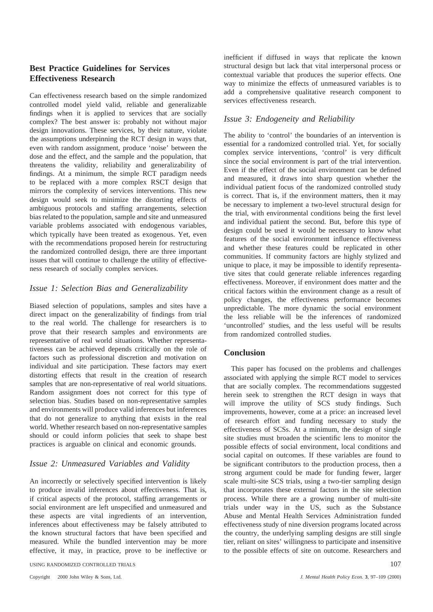# **Best Practice Guidelines for Services Effectiveness Research**

Can effectiveness research based on the simple randomized controlled model yield valid, reliable and generalizable findings when it is applied to services that are socially complex? The best answer is: probably not without major design innovations. These services, by their nature, violate the assumptions underpinning the RCT design in ways that, even with random assignment, produce 'noise' between the dose and the effect, and the sample and the population, that threatens the validity, reliability and generalizability of findings. At a minimum, the simple RCT paradigm needs to be replaced with a more complex RSCT design that mirrors the complexity of services interventions. This new design would seek to minimize the distorting effects of ambiguous protocols and staffing arrangements, selection bias related to the population, sample and site and unmeasured variable problems associated with endogenous variables, which typically have been treated as exogenous. Yet, even with the recommendations proposed herein for restructuring the randomized controlled design, there are three important issues that will continue to challenge the utility of effectiveness research of socially complex services.

# *Issue 1: Selection Bias and Generalizability*

Biased selection of populations, samples and sites have a direct impact on the generalizability of findings from trial to the real world. The challenge for researchers is to prove that their research samples and environments are representative of real world situations. Whether representativeness can be achieved depends critically on the role of factors such as professional discretion and motivation on individual and site participation. These factors may exert distorting effects that result in the creation of research samples that are non-representative of real world situations. Random assignment does not correct for this type of selection bias. Studies based on non-representative samples and environments will produce valid inferences but inferences that do not generalize to anything that exists in the real world. Whether research based on non-representative samples should or could inform policies that seek to shape best practices is arguable on clinical and economic grounds.

# *Issue 2: Unmeasured Variables and Validity*

An incorrectly or selectively specified intervention is likely to produce invalid inferences about effectiveness. That is, if critical aspects of the protocol, staffing arrangements or social environment are left unspecified and unmeasured and these aspects are vital ingredients of an intervention, inferences about effectiveness may be falsely attributed to the known structural factors that have been specified and measured. While the bundled intervention may be more effective, it may, in practice, prove to be ineffective or

USING RANDOMIZED CONTROLLED TRIALS 107

inefficient if diffused in ways that replicate the known structural design but lack that vital interpersonal process or contextual variable that produces the superior effects. One way to minimize the effects of unmeasured variables is to add a comprehensive qualitative research component to services effectiveness research.

## *Issue 3: Endogeneity and Reliability*

The ability to 'control' the boundaries of an intervention is essential for a randomized controlled trial. Yet, for socially complex service interventions, 'control' is very difficult since the social environment is part of the trial intervention. Even if the effect of the social environment can be defined and measured, it draws into sharp question whether the individual patient focus of the randomized controlled study is correct. That is, if the environment matters, then it may be necessary to implement a two-level structural design for the trial, with environmental conditions being the first level and individual patient the second. But, before this type of design could be used it would be necessary to know what features of the social environment influence effectiveness and whether these features could be replicated in other communities. If community factors are highly stylized and unique to place, it may be impossible to identify representative sites that could generate reliable inferences regarding effectiveness. Moreover, if environment does matter and the critical factors within the environment change as a result of policy changes, the effectiveness performance becomes unpredictable. The more dynamic the social environment the less reliable will be the inferences of randomized 'uncontrolled' studies, and the less useful will be results from randomized controlled studies.

## **Conclusion**

This paper has focused on the problems and challenges associated with applying the simple RCT model to services that are socially complex. The recommendations suggested herein seek to strengthen the RCT design in ways that will improve the utility of SCS study findings. Such improvements, however, come at a price: an increased level of research effort and funding necessary to study the effectiveness of SCSs. At a minimum, the design of single site studies must broaden the scientific lens to monitor the possible effects of social environment, local conditions and social capital on outcomes. If these variables are found to be significant contributors to the production process, then a strong argument could be made for funding fewer, larger scale multi-site SCS trials, using a two-tier sampling design that incorporates these external factors in the site selection process. While there are a growing number of multi-site trials under way in the US, such as the Substance Abuse and Mental Health Services Administration funded effectiveness study of nine diversion programs located across the country, the underlying sampling designs are still single tier, reliant on sites' willingness to participate and insensitive to the possible effects of site on outcome. Researchers and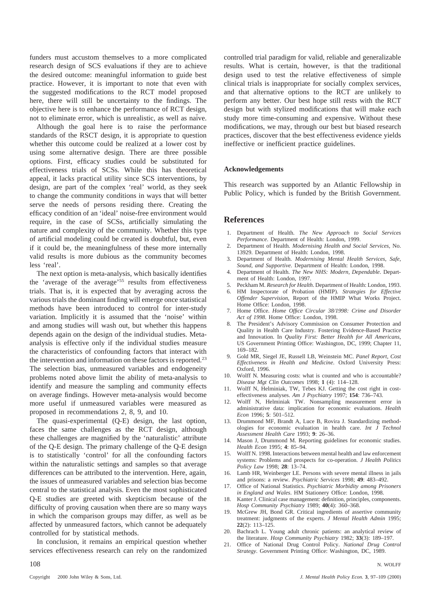funders must accustom themselves to a more complicated research design of SCS evaluations if they are to achieve the desired outcome: meaningful information to guide best practice. However, it is important to note that even with the suggested modifications to the RCT model proposed here, there will still be uncertainty to the findings. The objective here is to enhance the performance of RCT design, not to eliminate error, which is unrealistic, as well as naive.

Although the goal here is to raise the performance standards of the RSCT design, it is appropriate to question whether this outcome could be realized at a lower cost by using some alternative design. There are three possible options. First, efficacy studies could be substituted for effectiveness trials of SCSs. While this has theoretical appeal, it lacks practical utility since SCS interventions, by design, are part of the complex 'real' world, as they seek to change the community conditions in ways that will better serve the needs of persons residing there. Creating the efficacy condition of an 'ideal' noise-free environment would require, in the case of SCSs, artificially simulating the nature and complexity of the community. Whether this type of artificial modeling could be created is doubtful, but, even if it could be, the meaningfulness of these more internally valid results is more dubious as the community becomes less 'real'.

The next option is meta-analysis, which basically identifies the 'average of the average'<sup>55</sup> results from effectiveness trials. That is, it is expected that by averaging across the various trials the dominant finding will emerge once statistical methods have been introduced to control for inter-study variation. Implicitly it is assumed that the 'noise' within and among studies will wash out, but whether this happens depends again on the design of the individual studies. Metaanalysis is effective only if the individual studies measure the characteristics of confounding factors that interact with the intervention and information on these factors is reported.<sup>23</sup> The selection bias, unmeasured variables and endogeneity problems noted above limit the ability of meta-analysis to identify and measure the sampling and community effects on average findings. However meta-analysis would become more useful if unmeasured variables were measured as proposed in recommendations 2, 8, 9, and 10.

The quasi-experimental (Q-E) design, the last option, faces the same challenges as the RCT design, although these challenges are magnified by the 'naturalistic' attribute of the Q-E design. The primary challenge of the Q-E design is to statistically 'control' for all the confounding factors within the naturalistic settings and samples so that average differences can be attributed to the intervention. Here, again, the issues of unmeasured variables and selection bias become central to the statistical analysis. Even the most sophisticated Q-E studies are greeted with skepticism because of the difficulty of proving causation when there are so many ways in which the comparison groups may differ, as well as be affected by unmeasured factors, which cannot be adequately controlled for by statistical methods.

In conclusion, it remains an empirical question whether services effectiveness research can rely on the randomized controlled trial paradigm for valid, reliable and generalizable results. What is certain, however, is that the traditional design used to test the relative effectiveness of simple clinical trials is inappropriate for socially complex services, and that alternative options to the RCT are unlikely to perform any better. Our best hope still rests with the RCT design but with stylized modifications that will make each study more time-consuming and expensive. Without these modifications, we may, through our best but biased research practices, discover that the best effectiveness evidence yields ineffective or inefficient practice guidelines.

#### **Acknowledgements**

This research was supported by an Atlantic Fellowship in Public Policy, which is funded by the British Government.

#### **References**

- 1. Department of Health. *The New Approach to Social Services Performance*. Department of Health: London, 1999.
- 2. Department of Health. *Modernising Health and Social Services*, No. 13929. Department of Health: London, 1998.
- 3. Department of Health. *Modernising Mental Health Services, Safe, Sound, and Supportive*. Department of Health: London, 1998.
- 4. Department of Health. *The New NHS: Modern, Dependable*. Department of Health: London, 1997.
- 5. Peckham M. *Research for Health*. Department of Health: London, 1993.
- 6. HM Inspectorate of Probation (HMIP). *Strategies for Effective Offender Supervision*, Report of the HMIP What Works Project. Home Office: London, 1998.
- 7. Home Office. *Home Office Circular 38/1998: Crime and Disorder Act of 1998*. Home Office: London, 1998.
- The President's Advisory Commission on Consumer Protection and Quality in Health Care Industry. Fostering Evidence-Based Practice and Innovation. In *Quality First: Better Health for All Americans*, US Government Printing Office: Washington, DC, 1999; Chapter 11, 169–182.
- 9. Gold MR, Siegel JE, Russell LB, Weinstein MC. *Panel Report, Cost Effectiveness in Health and Medicine*. Oxford University Press: Oxford, 1996.
- 10. Wolff N. Measuring costs: what is counted and who is accountable? *Disease Mgt Clin Outcomes* 1998; **1** (4): 114–128.
- 11. Wolff N, Helminiak, TW, Tebes KJ. Getting the cost right in costeffectiveness analyses. *Am J Psychiatry* 1997; **154**: 736–743.
- 12. Wolff N, Helminiak TW. Nonsampling measurement error in administrative data: implication for economic evaluations. *Health Econ* 1996; **5**: 501–512.
- 13. Drummond MF, Brandt A, Luce B, Rovira J. Standardizing methodologies for economic evaluation in health care. *Int J Technol Assessment Health Care* 1993; **9**: 26–36.
- 14. Mason J, Drummond M. Reporting guidelines for economic studies. *Health Econ* 1995; **4**: 85–94.
- 15. Wolff N. 1998. Interactions between mental health and law enforcement systems: Problems and prospects for co-operation. *J Health Politics Policy Law* 1998; **28**: 13–74.
- 16. Lamb HR, Weinberger LE. Persons with severe mental illness in jails and prisons: a review. *Psychiatric Services* 1998; **49**: 483–492.
- 17. Office of National Statistics. *Psychiatric Morbidity among Prisoners in England and Wales*. HM Stationery Office: London, 1998.
- 18. Kanter J. Clinical case management: definition, principles, components. *Hosp Community Psychiatry* 1989; **40**(4): 360–368.
- McGrew JH, Bond GR. Critical ingredients of assertive community treatment: judgments of the experts. *J Mental Health Admin* 1995; **22**(2): 113–125.
- 20. Bachrach L. Young adult chronic patients: an analytical review of the literature. *Hosp Community Psychiatry* 1982; **33**(3): 189–197.
- 21. Office of National Drug Control Policy. *National Drug Control Strategy*. Government Printing Office: Washington, DC, 1989.